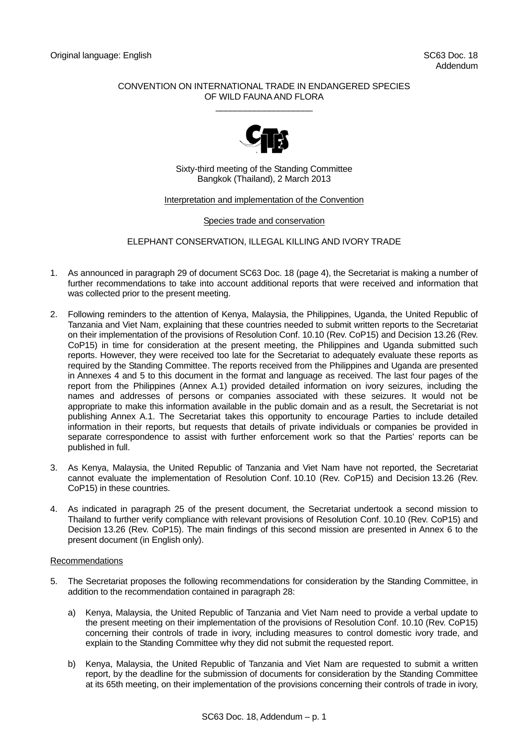## CONVENTION ON INTERNATIONAL TRADE IN ENDANGERED SPECIES OF WILD FAUNA AND FLORA  $\_$



Sixty-third meeting of the Standing Committee Bangkok (Thailand), 2 March 2013

## Interpretation and implementation of the Convention

Species trade and conservation

ELEPHANT CONSERVATION, ILLEGAL KILLING AND IVORY TRADE

- 1. As announced in paragraph 29 of document SC63 Doc. 18 (page 4), the Secretariat is making a number of further recommendations to take into account additional reports that were received and information that was collected prior to the present meeting.
- 2. Following reminders to the attention of Kenya, Malaysia, the Philippines, Uganda, the United Republic of Tanzania and Viet Nam, explaining that these countries needed to submit written reports to the Secretariat on their implementation of the provisions of Resolution Conf. 10.10 (Rev. CoP15) and Decision 13.26 (Rev. CoP15) in time for consideration at the present meeting, the Philippines and Uganda submitted such reports. However, they were received too late for the Secretariat to adequately evaluate these reports as required by the Standing Committee. The reports received from the Philippines and Uganda are presented in Annexes 4 and 5 to this document in the format and language as received. The last four pages of the report from the Philippines (Annex A.1) provided detailed information on ivory seizures, including the names and addresses of persons or companies associated with these seizures. It would not be appropriate to make this information available in the public domain and as a result, the Secretariat is not publishing Annex A.1. The Secretariat takes this opportunity to encourage Parties to include detailed information in their reports, but requests that details of private individuals or companies be provided in separate correspondence to assist with further enforcement work so that the Parties' reports can be published in full.
- 3. As Kenya, Malaysia, the United Republic of Tanzania and Viet Nam have not reported, the Secretariat cannot evaluate the implementation of Resolution Conf. 10.10 (Rev. CoP15) and Decision 13.26 (Rev. CoP15) in these countries.
- 4. As indicated in paragraph 25 of the present document, the Secretariat undertook a second mission to Thailand to further verify compliance with relevant provisions of Resolution Conf. 10.10 (Rev. CoP15) and Decision 13.26 (Rev. CoP15). The main findings of this second mission are presented in Annex 6 to the present document (in English only).

## Recommendations

- 5. The Secretariat proposes the following recommendations for consideration by the Standing Committee, in addition to the recommendation contained in paragraph 28:
	- a) Kenya, Malaysia, the United Republic of Tanzania and Viet Nam need to provide a verbal update to the present meeting on their implementation of the provisions of Resolution Conf. 10.10 (Rev. CoP15) concerning their controls of trade in ivory, including measures to control domestic ivory trade, and explain to the Standing Committee why they did not submit the requested report.
	- b) Kenya, Malaysia, the United Republic of Tanzania and Viet Nam are requested to submit a written report, by the deadline for the submission of documents for consideration by the Standing Committee at its 65th meeting, on their implementation of the provisions concerning their controls of trade in ivory,